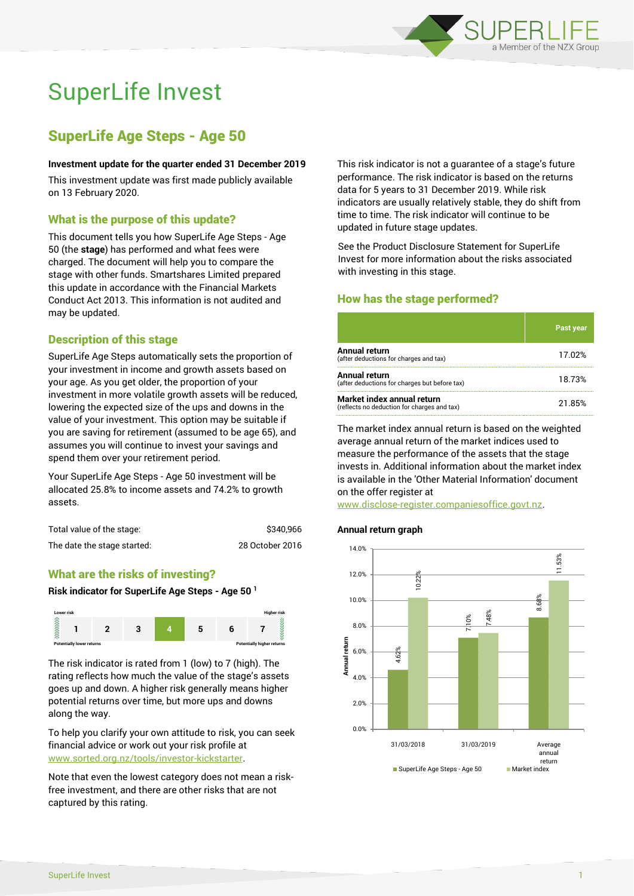

# SuperLife Invest

# SuperLife Age Steps - Age 50

#### **Investment update for the quarter ended 31 December 2019**

This investment update was first made publicly available on 13 February 2020.

# What is the purpose of this update?

This document tells you how SuperLife Age Steps - Age 50 (the **stage**) has performed and what fees were charged. The document will help you to compare the stage with other funds. Smartshares Limited prepared this update in accordance with the Financial Markets Conduct Act 2013. This information is not audited and may be updated.

# Description of this stage

SuperLife Age Steps automatically sets the proportion of your investment in income and growth assets based on your age. As you get older, the proportion of your investment in more volatile growth assets will be reduced, lowering the expected size of the ups and downs in the value of your investment. This option may be suitable if you are saving for retirement (assumed to be age 65), and assumes you will continue to invest your savings and spend them over your retirement period.

Your SuperLife Age Steps - Age 50 investment will be allocated 25.8% to income assets and 74.2% to growth assets.

| Total value of the stage:   | \$340,966       |
|-----------------------------|-----------------|
| The date the stage started: | 28 October 2016 |

# What are the risks of investing?

#### **Risk indicator for SuperLife Age Steps - Age 50 <sup>1</sup>**



The risk indicator is rated from 1 (low) to 7 (high). The rating reflects how much the value of the stage's assets goes up and down. A higher risk generally means higher potential returns over time, but more ups and downs along the way.

To help you clarify your own attitude to risk, you can seek financial advice or work out your risk profile at [www.sorted.org.nz/tools/investor-kickstarter.](http://www.sorted.org.nz/tools/investor-kickstarter)

Note that even the lowest category does not mean a riskfree investment, and there are other risks that are not captured by this rating.

This risk indicator is not a guarantee of a stage's future performance. The risk indicator is based on the returns data for 5 years to 31 December 2019. While risk indicators are usually relatively stable, they do shift from time to time. The risk indicator will continue to be updated in future stage updates.

See the Product Disclosure Statement for SuperLife Invest for more information about the risks associated with investing in this stage.

# How has the stage performed?

|                                                                           | <b>Past year</b> |
|---------------------------------------------------------------------------|------------------|
| Annual return<br>(after deductions for charges and tax)                   | 17.02%           |
| Annual return<br>(after deductions for charges but before tax)            | 18.73%           |
| Market index annual return<br>(reflects no deduction for charges and tax) | 21.85%           |

The market index annual return is based on the weighted average annual return of the market indices used to measure the performance of the assets that the stage invests in. Additional information about the market index is available in the 'Other Material Information' document on the offer register at

www.disclose-register.companiesoffice.govt.nz.

## **Annual return graph**

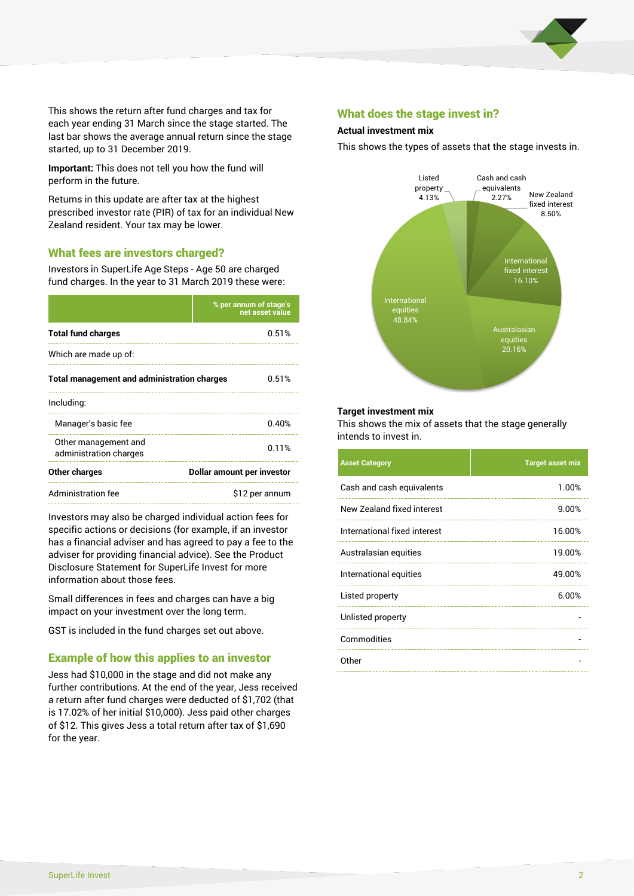

This shows the return after fund charges and tax for each year ending 31 March since the stage started. The last bar shows the average annual return since the stage started, up to 31 December 2019.

**Important:** This does not tell you how the fund will perform in the future.

Returns in this update are after tax at the highest prescribed investor rate (PIR) of tax for an individual New Zealand resident. Your tax may be lower.

# What fees are investors charged?

Investors in SuperLife Age Steps - Age 50 are charged fund charges. In the year to 31 March 2019 these were:

|                                                    | % per annum of stage's<br>net asset value |  |
|----------------------------------------------------|-------------------------------------------|--|
| <b>Total fund charges</b>                          | 0.51%                                     |  |
| Which are made up of:                              |                                           |  |
| <b>Total management and administration charges</b> | 0.51%                                     |  |
| Including:                                         |                                           |  |
| Manager's basic fee                                | 0.40%                                     |  |
| Other management and<br>administration charges     | 0.11%                                     |  |
| Other charges                                      | Dollar amount per investor                |  |
| Administration fee                                 | \$12 per annum                            |  |

Investors may also be charged individual action fees for specific actions or decisions (for example, if an investor has a financial adviser and has agreed to pay a fee to the adviser for providing financial advice). See the Product Disclosure Statement for SuperLife Invest for more information about those fees.

Small differences in fees and charges can have a big impact on your investment over the long term.

GST is included in the fund charges set out above.

# Example of how this applies to an investor

Jess had \$10,000 in the stage and did not make any further contributions. At the end of the year, Jess received a return after fund charges were deducted of \$1,702 (that is 17.02% of her initial \$10,000). Jess paid other charges of \$12. This gives Jess a total return after tax of \$1,690 for the year.

## What does the stage invest in?

#### **Actual investment mix**

This shows the types of assets that the stage invests in.



#### **Target investment mix**

This shows the mix of assets that the stage generally intends to invest in.

| <b>Asset Category</b>        | <b>Target asset mix</b> |
|------------------------------|-------------------------|
| Cash and cash equivalents    | 1.00%                   |
| New Zealand fixed interest   | 9.00%                   |
| International fixed interest | 16.00%                  |
| Australasian equities        | 19.00%                  |
| International equities       | 49.00%                  |
| Listed property              | 6.00%                   |
| Unlisted property            |                         |
| Commodities                  |                         |
| Other                        |                         |